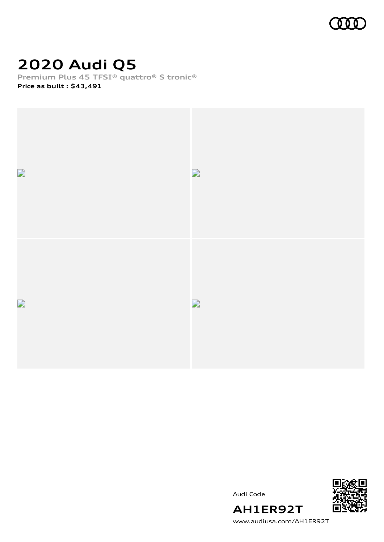

# **2020 Audi Q5**

**Premium Plus 45 TFSI® quattro® S tronic® Price as built [:](#page-8-0) \$43,491**



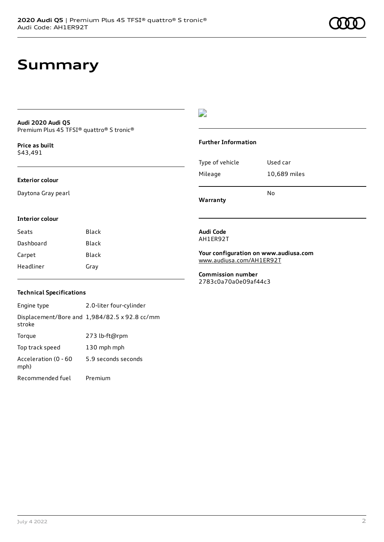#### **Audi 2020 Audi Q5** Premium Plus 45 TFSI® quattro® S tronic®

**Price as buil[t](#page-8-0)** \$43,491

#### **Exterior colour**

Daytona Gray pearl

### D

#### **Further Information**

| Mileage | 10,689 miles |  |
|---------|--------------|--|
|         | N٥           |  |

**Warranty**

### **Interior colour**

| Seats     | Black |
|-----------|-------|
| Dashboard | Black |
| Carpet    | Black |
| Headliner | Gray  |

#### **Audi Code** AH1ER92T

**Your configuration on www.audiusa.com** [www.audiusa.com/AH1ER92T](https://www.audiusa.com/AH1ER92T)

#### **Commission number** 2783c0a70a0e09af44c3

### **Technical Specifications**

Engine type 2.0-liter four-cylinder Displacement/Bore and 1,984/82.5 x 92.8 cc/mm stroke Torque 273 lb-ft@rpm Top track speed 130 mph mph Acceleration (0 - 60 mph) 5.9 seconds seconds Recommended fuel Premium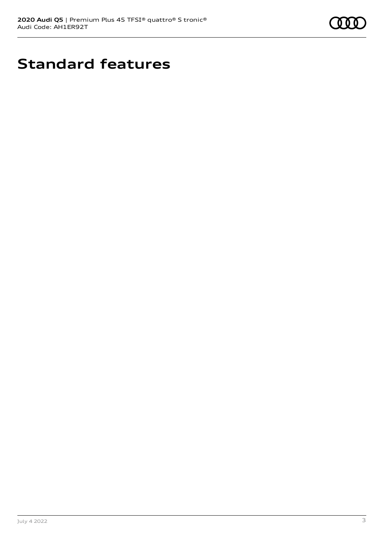

# **Standard features**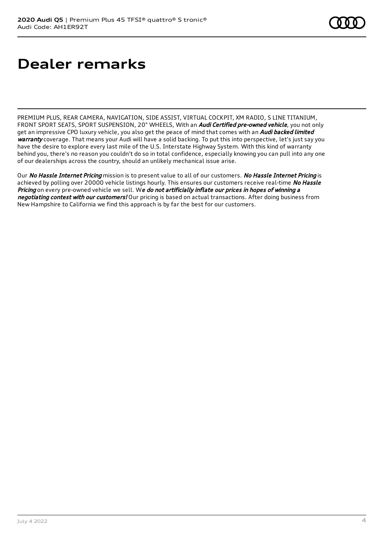# **Dealer remarks**

PREMIUM PLUS, REAR CAMERA, NAVIGATION, SIDE ASSIST, VIRTUAL COCKPIT, XM RADIO, S LINE TITANIUM, FRONT SPORT SEATS, SPORT SUSPENSION, 20" WHEELS, With an *Audi Certified pre-owned vehicle*, you not only get an impressive CPO luxury vehicle, you also get the peace of mind that comes with an *Audi backed limited* warranty coverage. That means your Audi will have a solid backing. To put this into perspective, let's just say you have the desire to explore every last mile of the U.S. Interstate Highway System. With this kind of warranty behind you, there's no reason you couldn't do so in total confidence, especially knowing you can pull into any one of our dealerships across the country, should an unlikely mechanical issue arise.

Our No Hassle Internet Pricing mission is to present value to all of our customers. No Hassle Internet Pricing is achieved by polling over 20000 vehicle listings hourly. This ensures our customers receive real-time No Hassle Pricing on every pre-owned vehicle we sell. We do not artificially inflate our prices in hopes of winning a negotiating contest with our customers! Our pricing is based on actual transactions. After doing business from New Hampshire to California we find this approach is by far the best for our customers.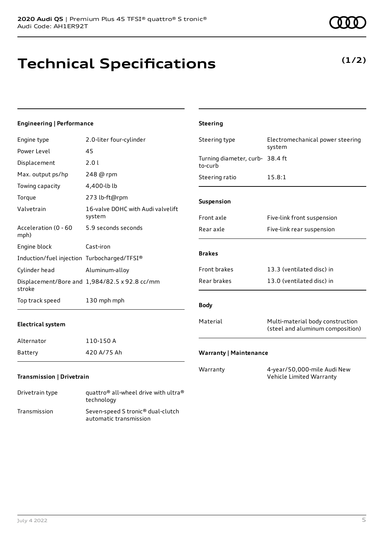### **Technical Specifications**

technology Transmission Seven-speed S tronic® dual-clutch

automatic transmission

### **Engineering | Performance**

| Engine type                                 | 2.0-liter four-cylinder                       | Steering type                              | Electromechanical power steering                                     |
|---------------------------------------------|-----------------------------------------------|--------------------------------------------|----------------------------------------------------------------------|
| Power Level                                 | 45                                            |                                            | system                                                               |
| Displacement                                | 2.01                                          | Turning diameter, curb- 38.4 ft<br>to-curb |                                                                      |
| Max. output ps/hp                           | 248 @ rpm                                     | Steering ratio                             | 15.8:1                                                               |
| Towing capacity                             | 4,400-lb lb                                   |                                            |                                                                      |
| Torque                                      | 273 lb-ft@rpm                                 | Suspension                                 |                                                                      |
| Valvetrain                                  | 16-valve DOHC with Audi valvelift<br>system   | Front axle                                 | Five-link front suspension                                           |
| Acceleration (0 - 60<br>mph)                | 5.9 seconds seconds                           | Rear axle                                  | Five-link rear suspension                                            |
| Engine block                                | Cast-iron                                     |                                            |                                                                      |
| Induction/fuel injection Turbocharged/TFSI® |                                               | <b>Brakes</b>                              |                                                                      |
| Cylinder head                               | Aluminum-alloy                                | Front brakes                               | 13.3 (ventilated disc) in                                            |
| stroke                                      | Displacement/Bore and 1,984/82.5 x 92.8 cc/mm | Rear brakes                                | 13.0 (ventilated disc) in                                            |
| Top track speed                             | 130 mph mph                                   | <b>Body</b>                                |                                                                      |
| <b>Electrical system</b>                    |                                               | Material                                   | Multi-material body construction<br>(steel and aluminum composition) |
| Alternator                                  | 110-150 A                                     |                                            |                                                                      |
| Battery                                     | 420 A/75 Ah                                   | <b>Warranty   Maintenance</b>              |                                                                      |
| <b>Transmission   Drivetrain</b>            |                                               | Warranty                                   | 4-year/50,000-mile Audi New<br>Vehicle Limited Warranty              |
| Drivetrain type                             | quattro® all-wheel drive with ultra®          |                                            |                                                                      |

**Steering**

### **(1/2)**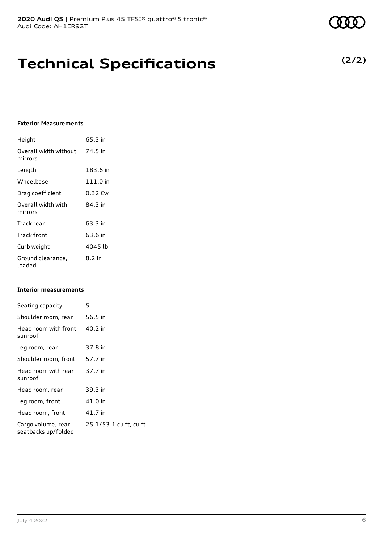# **Technical Specifications**

### **Exterior Measurements**

| Height                           | 65.3 in  |
|----------------------------------|----------|
| Overall width without<br>mirrors | 74.5 in  |
| Length                           | 183.6 in |
| Wheelbase                        | 111.0 in |
| Drag coefficient                 | 0.32 Cw  |
| Overall width with<br>mirrors    | 84.3 in  |
| Track rear                       | 63.3 in  |
| Track front                      | 63.6 in  |
| Curb weight                      | 4045 lb  |
| Ground clearance,<br>loaded      | $8.2$ in |

### **Interior measurements**

| Seating capacity                          | 5                      |
|-------------------------------------------|------------------------|
| Shoulder room, rear                       | 56.5 in                |
| Head room with front<br>sunroof           | 40.2 in                |
| Leg room, rear                            | 37.8 in                |
| Shoulder room, front                      | 57.7 in                |
| Head room with rear<br>sunroof            | 37.7 in                |
| Head room, rear                           | 39.3 in                |
| Leg room, front                           | 41.0 in                |
| Head room, front                          | 41.7 in                |
| Cargo volume, rear<br>seatbacks up/folded | 25.1/53.1 cu ft, cu ft |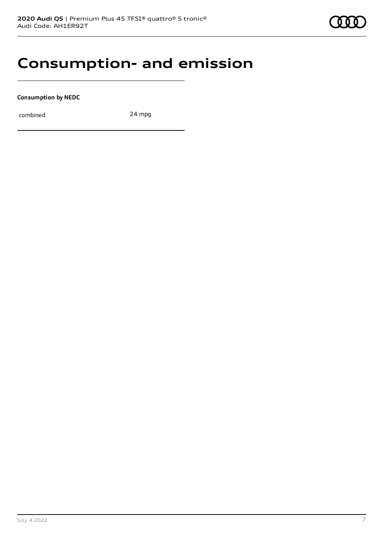### **Consumption- and emission**

**Consumption by NEDC**

combined 24 mpg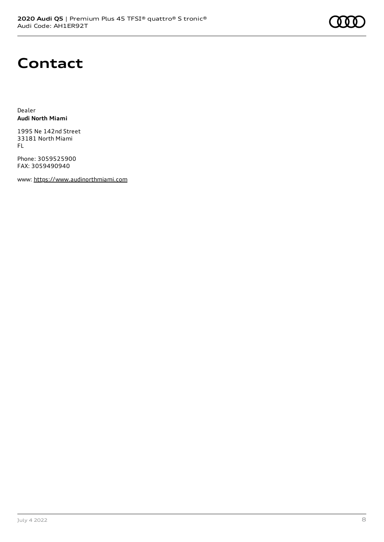### **Contact**

Dealer **Audi North Miami**

1995 Ne 142nd Street 33181 North Miami FL

Phone: 3059525900 FAX: 3059490940

www: [https://www.audinorthmiami.com](https://www.audinorthmiami.com/)